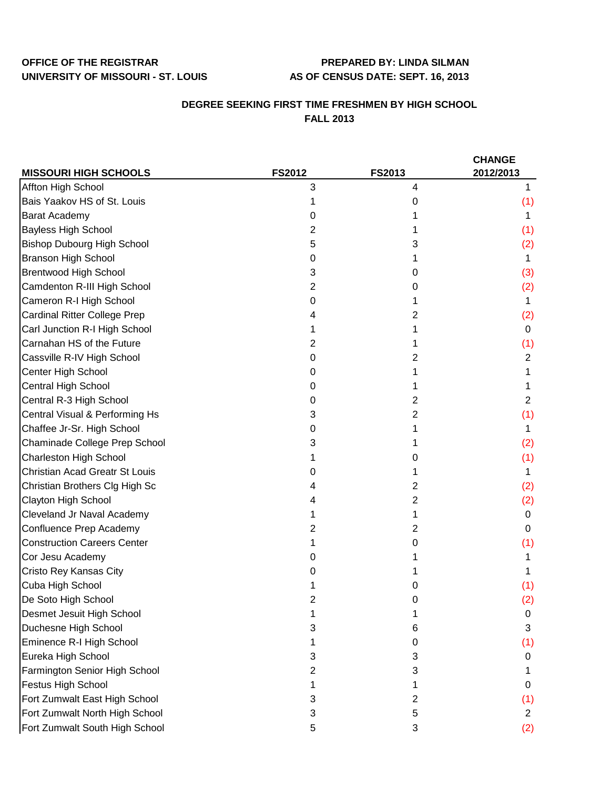## **OFFICE OF THE REGISTRAR PREPARED BY: LINDA SILMAN UNIVERSITY OF MISSOURI - ST. LOUIS AS OF CENSUS DATE: SEPT. 16, 2013**

## **DEGREE SEEKING FIRST TIME FRESHMEN BY HIGH SCHOOL FALL 2013**

|                                       |               |                | <b>CHANGE</b>  |
|---------------------------------------|---------------|----------------|----------------|
| <b>MISSOURI HIGH SCHOOLS</b>          | <b>FS2012</b> | <b>FS2013</b>  | 2012/2013      |
| Affton High School                    | 3             | 4              | 1.             |
| Bais Yaakov HS of St. Louis           |               | 0              | (1)            |
| <b>Barat Academy</b>                  | 0             |                | 1.             |
| <b>Bayless High School</b>            | 2             |                | (1)            |
| <b>Bishop Dubourg High School</b>     | 5             | 3              | (2)            |
| <b>Branson High School</b>            | 0             | 1              | 1              |
| <b>Brentwood High School</b>          | 3             | 0              | (3)            |
| Camdenton R-III High School           | 2             | 0              | (2)            |
| Cameron R-I High School               | 0             |                | 1              |
| <b>Cardinal Ritter College Prep</b>   | 4             | 2              | (2)            |
| Carl Junction R-I High School         |               |                | $\mathbf 0$    |
| Carnahan HS of the Future             | 2             |                | (1)            |
| Cassville R-IV High School            | 0             | 2              | $\overline{2}$ |
| Center High School                    | 0             |                | 1              |
| Central High School                   | 0             | 1              | 1              |
| Central R-3 High School               | 0             | $\overline{2}$ | $\overline{2}$ |
| Central Visual & Performing Hs        | 3             | 2              | (1)            |
| Chaffee Jr-Sr. High School            | 0             | 1              | 1              |
| Chaminade College Prep School         | 3             |                | (2)            |
| <b>Charleston High School</b>         |               | O              | (1)            |
| <b>Christian Acad Greatr St Louis</b> | 0             |                | 1.             |
| Christian Brothers Clg High Sc        | 4             | $\overline{2}$ | (2)            |
| Clayton High School                   | 4             | 2              | (2)            |
| Cleveland Jr Naval Academy            |               | 1              | 0              |
| Confluence Prep Academy               | 2             | $\overline{2}$ | 0              |
| <b>Construction Careers Center</b>    |               | 0              | (1)            |
| Cor Jesu Academy                      |               |                |                |
| Cristo Rey Kansas City                |               |                |                |
| Cuba High School                      |               | 0              | (1)            |
| De Soto High School                   |               | 0              | (2)            |
| Desmet Jesuit High School             | 1             | 1              | 0              |
| Duchesne High School                  | 3             | 6              | 3              |
| Eminence R-I High School              |               | 0              | (1)            |
| Eureka High School                    | 3             | 3              | 0              |
| Farmington Senior High School         | 2             | 3              |                |
| Festus High School                    |               |                | 0              |
| Fort Zumwalt East High School         | 3             | 2              | (1)            |
| Fort Zumwalt North High School        | 3             | 5              | $\mathbf{2}$   |
| Fort Zumwalt South High School        | 5             | 3              | (2)            |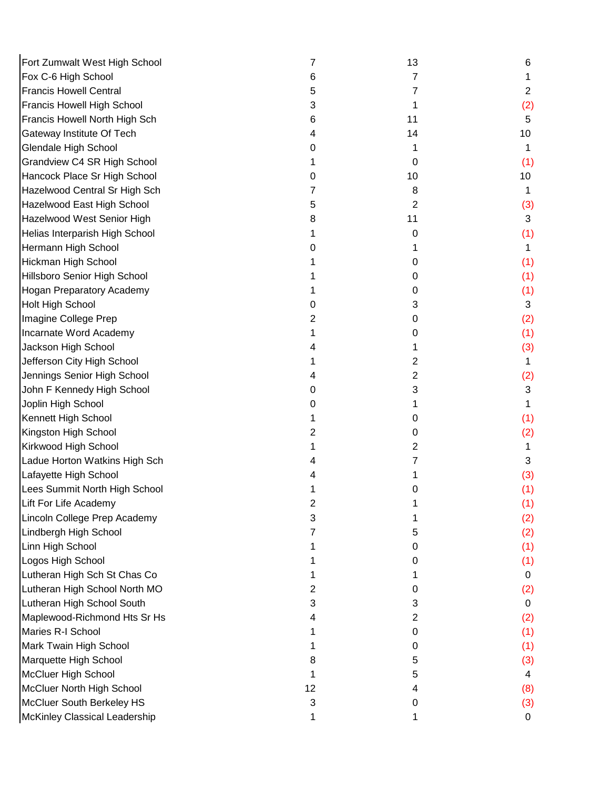| Fort Zumwalt West High School    | 7  | 13             | 6              |
|----------------------------------|----|----------------|----------------|
| Fox C-6 High School              | 6  | 7              |                |
| <b>Francis Howell Central</b>    | 5  | 7              | $\overline{2}$ |
| Francis Howell High School       | 3  | 1              | (2)            |
| Francis Howell North High Sch    | 6  | 11             | 5              |
| Gateway Institute Of Tech        | 4  | 14             | 10             |
| Glendale High School             | 0  |                |                |
| Grandview C4 SR High School      |    | 0              | (1)            |
| Hancock Place Sr High School     | O  | 10             | 10             |
| Hazelwood Central Sr High Sch    |    | 8              |                |
| Hazelwood East High School       | 5  | 2              | (3)            |
| Hazelwood West Senior High       | 8  | 11             | 3              |
| Helias Interparish High School   |    | 0              | (1)            |
| Hermann High School              | 0  |                | 1              |
| Hickman High School              |    | 0              | (1)            |
| Hillsboro Senior High School     |    | 0              | (1)            |
| <b>Hogan Preparatory Academy</b> |    | 0              | (1)            |
| <b>Holt High School</b>          | Ω  | 3              | 3              |
| Imagine College Prep             | 2  | 0              | (2)            |
| Incarnate Word Academy           |    | 0              | (1)            |
| Jackson High School              |    |                | (3)            |
| Jefferson City High School       |    | $\overline{2}$ |                |
| Jennings Senior High School      |    | $\overline{2}$ | (2)            |
| John F Kennedy High School       | O  | 3              | 3              |
| Joplin High School               | Ω  |                |                |
| Kennett High School              |    | 0              | (1)            |
| Kingston High School             | 2  | 0              | (2)            |
| Kirkwood High School             |    | 2              |                |
| Ladue Horton Watkins High Sch    |    |                | 3              |
| Lafayette High School            |    |                | (3)            |
| Lees Summit North High School    |    | 0              | (1)            |
| Lift For Life Academy            | 2  |                | (1)            |
| Lincoln College Prep Academy     | 3  |                | (2)            |
| Lindbergh High School            |    | 5              | (2)            |
| Linn High School                 |    | 0              | (1)            |
| Logos High School                |    | 0              | (1)            |
| Lutheran High Sch St Chas Co     |    |                | 0              |
| Lutheran High School North MO    | 2  | 0              | (2)            |
| Lutheran High School South       | 3  | 3              | 0              |
| Maplewood-Richmond Hts Sr Hs     | 4  | 2              | (2)            |
| Maries R-I School                |    | 0              | (1)            |
| Mark Twain High School           |    | 0              | (1)            |
| Marquette High School            | 8  | 5              | (3)            |
| McCluer High School              |    | 5              | 4              |
| McCluer North High School        | 12 | 4              | (8)            |
| McCluer South Berkeley HS        | 3  | 0              | (3)            |
| McKinley Classical Leadership    |    |                | 0              |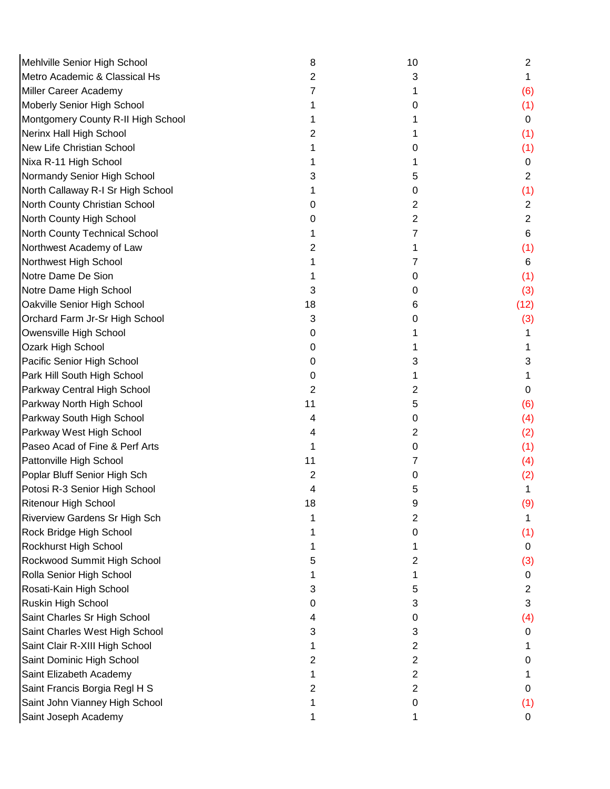| Mehlville Senior High School         | 8  | 10             | $\overline{2}$ |
|--------------------------------------|----|----------------|----------------|
| Metro Academic & Classical Hs        | 2  | 3              | 1              |
| Miller Career Academy                |    |                | (6)            |
| Moberly Senior High School           |    | 0              | (1)            |
| Montgomery County R-II High School   |    |                | 0              |
| Nerinx Hall High School              |    |                | (1)            |
| New Life Christian School            |    | 0              | (1)            |
| Nixa R-11 High School                |    | 1              | 0              |
| Normandy Senior High School          | З  | 5              | $\overline{2}$ |
| North Callaway R-I Sr High School    |    | 0              | (1)            |
| North County Christian School        | O  | 2              | $\mathbf{2}$   |
| North County High School             | O  | 2              | $\overline{2}$ |
| North County Technical School        |    | 7              | 6              |
| Northwest Academy of Law             | 2  | 1              | (1)            |
| Northwest High School                |    | 7              | 6              |
| Notre Dame De Sion                   |    | 0              | (1)            |
| Notre Dame High School               | 3  | 0              | (3)            |
| Oakville Senior High School          | 18 | 6              | (12)           |
| Orchard Farm Jr-Sr High School       | 3  | 0              | (3)            |
| Owensville High School               | 0  |                |                |
| Ozark High School                    | 0  |                |                |
| Pacific Senior High School           | 0  | 3              | 3              |
| Park Hill South High School          | 0  |                |                |
| Parkway Central High School          | 2  | 2              | 0              |
| Parkway North High School            | 11 | 5              | (6)            |
| Parkway South High School            | 4  | 0              | (4)            |
| Parkway West High School             |    | 2              | (2)            |
| Paseo Acad of Fine & Perf Arts       |    | 0              | (1)            |
| Pattonville High School              | 11 | 7              | (4)            |
| Poplar Bluff Senior High Sch         | 2  | 0              | (2)            |
| Potosi R-3 Senior High School        | 4  | 5              |                |
| <b>Ritenour High School</b>          | 18 | 9              | (9)            |
| <b>Riverview Gardens Sr High Sch</b> |    | 2              |                |
| Rock Bridge High School              |    | 0              | (1)            |
| Rockhurst High School                |    |                | 0              |
| Rockwood Summit High School          |    | 2              | (3)            |
| Rolla Senior High School             |    | 1              | 0              |
| Rosati-Kain High School              | 3  | 5              | 2              |
| Ruskin High School                   | O  | 3              | 3              |
| Saint Charles Sr High School         |    | 0              | (4)            |
| Saint Charles West High School       | 3  | 3              | 0              |
| Saint Clair R-XIII High School       |    | 2              |                |
| Saint Dominic High School            | 2  | $\overline{2}$ | 0              |
| Saint Elizabeth Academy              |    | $\overline{2}$ |                |
| Saint Francis Borgia Regl H S        |    | 2              | 0              |
| Saint John Vianney High School       |    | 0              | (1)            |
| Saint Joseph Academy                 |    |                | 0              |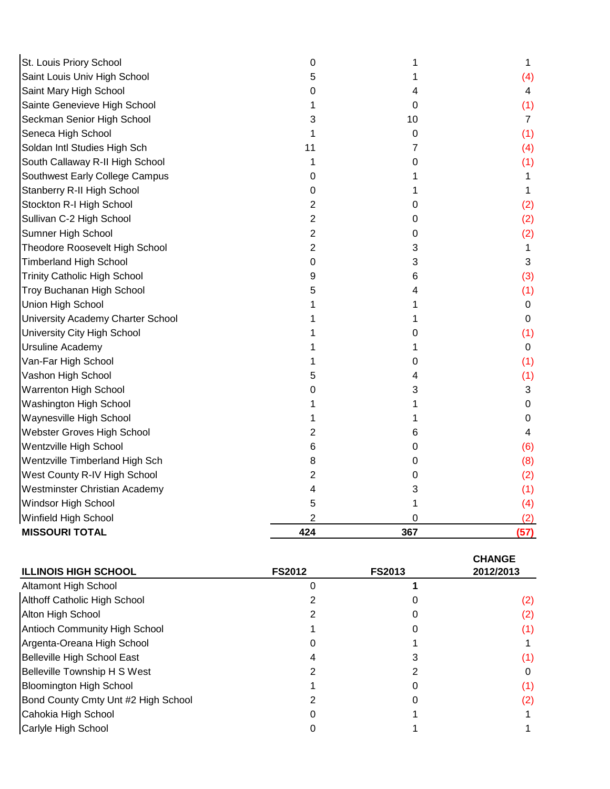| <b>MISSOURI TOTAL</b>                | 424            | 367 | (57)           |
|--------------------------------------|----------------|-----|----------------|
| Winfield High School                 | 2              | 0   | (2)            |
| Windsor High School                  | 5              | 1   | (4)            |
| <b>Westminster Christian Academy</b> | 4              | 3   | (1)            |
| West County R-IV High School         | 2              | 0   | (2)            |
| Wentzville Timberland High Sch       | 8              | 0   | (8)            |
| Wentzville High School               | 6              | 0   | (6)            |
| Webster Groves High School           | 2              | 6   | 4              |
| Waynesville High School              |                | 1   | 0              |
| Washington High School               |                | 1   | 0              |
| <b>Warrenton High School</b>         | 0              | 3   | 3              |
| Vashon High School                   |                | 4   | (1)            |
| Van-Far High School                  |                | 0   | (1)            |
| Ursuline Academy                     |                | 1   | 0              |
| University City High School          |                | 0   | (1)            |
| University Academy Charter School    |                | 1   | 0              |
| Union High School                    |                | 1   | 0              |
| Troy Buchanan High School            | 5              | 4   | (1)            |
| <b>Trinity Catholic High School</b>  | 9              | 6   | (3)            |
| <b>Timberland High School</b>        | 0              | 3   | 3              |
| Theodore Roosevelt High School       | $\overline{2}$ | 3   | 1              |
| Sumner High School                   | 2              | 0   | (2)            |
| Sullivan C-2 High School             | 2              | 0   | (2)            |
| Stockton R-I High School             | 2              | 0   | (2)            |
| Stanberry R-II High School           | 0              | 1   | 1              |
| Southwest Early College Campus       | 0              |     | 1              |
| South Callaway R-II High School      | 1              | 0   | (1)            |
| Soldan Intl Studies High Sch         | 11             | 7   | (4)            |
| Seneca High School                   |                | 0   | (1)            |
| Seckman Senior High School           | 3              | 10  | $\overline{7}$ |
| Sainte Genevieve High School         |                | 0   | (1)            |
| Saint Mary High School               | 0              | 4   | 4              |
| Saint Louis Univ High School         | 5              | 1   | (4)            |
| St. Louis Priory School              | 0              | 1   | 1              |

| <b>ILLINOIS HIGH SCHOOL</b>          | <b>FS2012</b> | <b>FS2013</b> | <b>CHANGE</b><br>2012/2013 |
|--------------------------------------|---------------|---------------|----------------------------|
| Altamont High School                 |               |               |                            |
| <b>Althoff Catholic High School</b>  |               |               | (2)                        |
| Alton High School                    |               |               | (2)                        |
| <b>Antioch Community High School</b> |               |               |                            |
| Argenta-Oreana High School           |               |               |                            |
| Belleville High School East          |               |               |                            |
| <b>Belleville Township H S West</b>  |               |               |                            |
| <b>Bloomington High School</b>       |               |               |                            |
| Bond County Cmty Unt #2 High School  |               |               |                            |
| Cahokia High School                  |               |               |                            |
| Carlyle High School                  |               |               |                            |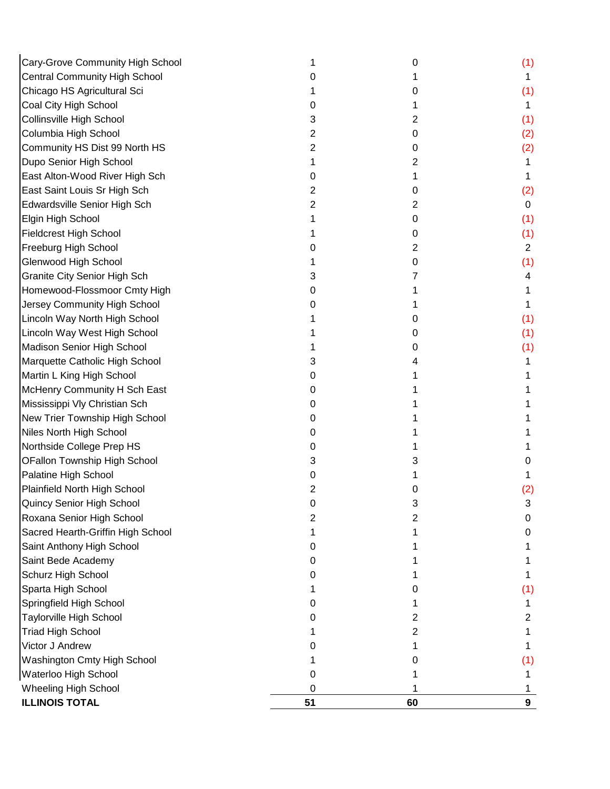| Cary-Grove Community High School     |    | 0  | (1)            |
|--------------------------------------|----|----|----------------|
| <b>Central Community High School</b> |    |    | 1              |
| Chicago HS Agricultural Sci          |    | 0  | (1)            |
| Coal City High School                | 0  | 1  | 1              |
| Collinsville High School             | 3  | 2  | (1)            |
| Columbia High School                 | 2  | 0  | (2)            |
| Community HS Dist 99 North HS        | 2  | 0  | (2)            |
| Dupo Senior High School              |    | 2  | 1              |
| East Alton-Wood River High Sch       | 0  | 1  | 1              |
| East Saint Louis Sr High Sch         | 2  | 0  | (2)            |
| Edwardsville Senior High Sch         | 2  | 2  | 0              |
| Elgin High School                    |    | 0  | (1)            |
| <b>Fieldcrest High School</b>        |    | 0  | (1)            |
| Freeburg High School                 |    | 2  | $\overline{2}$ |
| Glenwood High School                 |    | 0  | (1)            |
| <b>Granite City Senior High Sch</b>  | З  |    | 4              |
| Homewood-Flossmoor Cmty High         | O  |    |                |
| Jersey Community High School         |    |    |                |
| Lincoln Way North High School        |    | 0  | (1)            |
| Lincoln Way West High School         |    | 0  | (1)            |
| Madison Senior High School           |    | 0  | (1)            |
| Marquette Catholic High School       | 3  | 4  |                |
| Martin L King High School            | O  |    |                |
| McHenry Community H Sch East         | 0  |    |                |
| Mississippi Vly Christian Sch        | 0  |    |                |
| New Trier Township High School       | 0  |    |                |
| Niles North High School              | 0  |    |                |
| Northside College Prep HS            | 0  |    |                |
| OFallon Township High School         | 3  | 3  | 0              |
| Palatine High School                 | 0  |    |                |
| Plainfield North High School         | 2  | 0  | (2)            |
| Quincy Senior High School            |    | 3  | 3              |
| Roxana Senior High School            |    | 2  | 0              |
| Sacred Hearth-Griffin High School    |    |    |                |
| Saint Anthony High School            | 0  |    |                |
| Saint Bede Academy                   |    |    |                |
| Schurz High School                   |    |    |                |
| Sparta High School                   |    | 0  | (1)            |
| Springfield High School              |    |    |                |
| <b>Taylorville High School</b>       |    | 2  | 2              |
| <b>Triad High School</b>             |    | 2  |                |
| Victor J Andrew                      |    |    |                |
| Washington Cmty High School          |    | 0  | (1)            |
| Waterloo High School                 |    |    |                |
| Wheeling High School                 | 0  |    |                |
| <b>ILLINOIS TOTAL</b>                | 51 | 60 | 9              |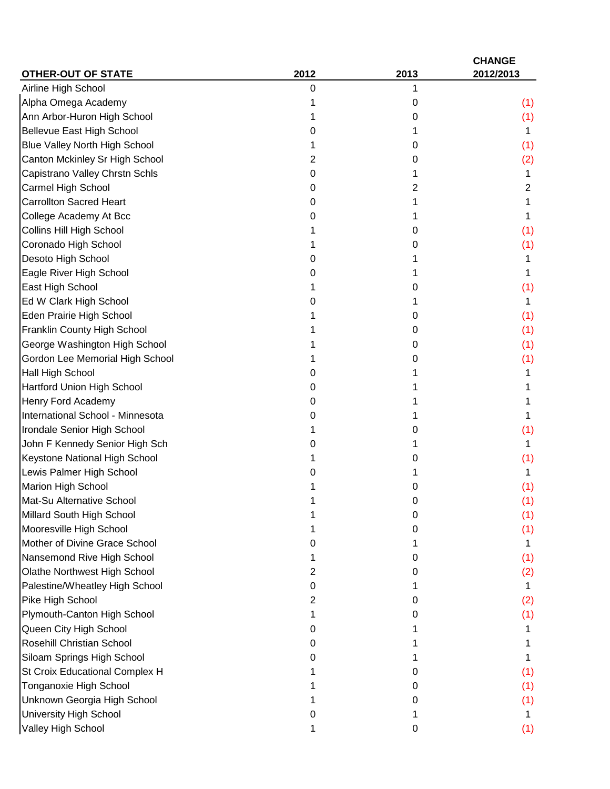| <b>OTHER-OUT OF STATE</b>            | 2012 | 2013 | <b>CHANGE</b><br>2012/2013 |
|--------------------------------------|------|------|----------------------------|
| Airline High School                  | 0    | 1    |                            |
| Alpha Omega Academy                  |      | 0    | (1)                        |
| Ann Arbor-Huron High School          |      | 0    | (1)                        |
| <b>Bellevue East High School</b>     | 0    |      | 1                          |
| <b>Blue Valley North High School</b> |      | 0    | (1)                        |
| Canton Mckinley Sr High School       | 2    | 0    | (2)                        |
| Capistrano Valley Chrstn Schls       | 0    | 1    | 1                          |
| Carmel High School                   | 0    | 2    | 2                          |
| <b>Carrollton Sacred Heart</b>       | O    |      |                            |
| College Academy At Bcc               | O    | 1    | 1                          |
| Collins Hill High School             |      | 0    | (1)                        |
| Coronado High School                 |      | 0    | (1)                        |
| Desoto High School                   | O    |      |                            |
| Eagle River High School              | 0    |      |                            |
| East High School                     |      | 0    | (1)                        |
| Ed W Clark High School               | O    | 1    | 1                          |
| Eden Prairie High School             |      | 0    | (1)                        |
| Franklin County High School          |      | 0    | (1)                        |
| George Washington High School        |      | 0    | (1)                        |
| Gordon Lee Memorial High School      |      | 0    | (1)                        |
| Hall High School                     | O    |      |                            |
| Hartford Union High School           | O    |      |                            |
| Henry Ford Academy                   | 0    |      |                            |
| International School - Minnesota     | 0    |      |                            |
| Irondale Senior High School          |      | 0    | (1)                        |
| John F Kennedy Senior High Sch       | 0    | 1    | 1.                         |
| Keystone National High School        |      | O    | (1)                        |
| Lewis Palmer High School             |      |      | 1                          |
| <b>Marion High School</b>            |      | 0    | (1)                        |
| Mat-Su Alternative School            |      |      | (1)                        |
| Millard South High School            |      | Ω    | (1)                        |
| Mooresville High School              |      | O    | (1)                        |
| Mother of Divine Grace School        |      |      | 1.                         |
| Nansemond Rive High School           |      | 0    | (1)                        |
| Olathe Northwest High School         | 2    | O    | (2)                        |
| Palestine/Wheatley High School       | O    |      | 1.                         |
| Pike High School                     | 2    | 0    | (2)                        |
| Plymouth-Canton High School          |      | 0    | (1)                        |
| Queen City High School               | Ω    |      |                            |
| Rosehill Christian School            | 0    |      |                            |
| Siloam Springs High School           |      |      |                            |
| St Croix Educational Complex H       |      | 0    | (1)                        |
| Tonganoxie High School               |      | O    | (1)                        |
| Unknown Georgia High School          |      | Ω    | (1)                        |
| University High School               | O    |      | 1.                         |
| Valley High School                   |      | 0    | (1)                        |